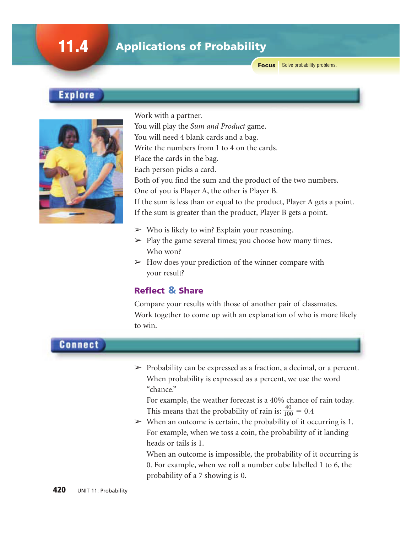# 11.4 Applications of Probability

**Focus** Solve probability problems.

## Explore



Work with a partner.

You will play the *Sum and Product* game.

You will need 4 blank cards and a bag.

Write the numbers from 1 to 4 on the cards.

Place the cards in the bag.

Each person picks a card.

Both of you find the sum and the product of the two numbers.

One of you is Player A, the other is Player B.

If the sum is less than or equal to the product, Player A gets a point. If the sum is greater than the product, Player B gets a point.

- $\triangleright$  Who is likely to win? Explain your reasoning.
- $\triangleright$  Play the game several times; you choose how many times. Who won?
- $\triangleright$  How does your prediction of the winner compare with your result?

## Reflect & Share

Compare your results with those of another pair of classmates. Work together to come up with an explanation of who is more likely to win.

## **Connect**

 $\triangleright$  Probability can be expressed as a fraction, a decimal, or a percent. When probability is expressed as a percent, we use the word "chance."

For example, the weather forecast is a 40% chance of rain today. This means that the probability of rain is:  $\frac{4}{10}$ 0  $\overline{0}$  $\frac{0}{00} = 0.4$ 

 $\triangleright$  When an outcome is certain, the probability of it occurring is 1. For example, when we toss a coin, the probability of it landing heads or tails is 1.

When an outcome is impossible, the probability of it occurring is 0. For example, when we roll a number cube labelled 1 to 6, the probability of a 7 showing is 0.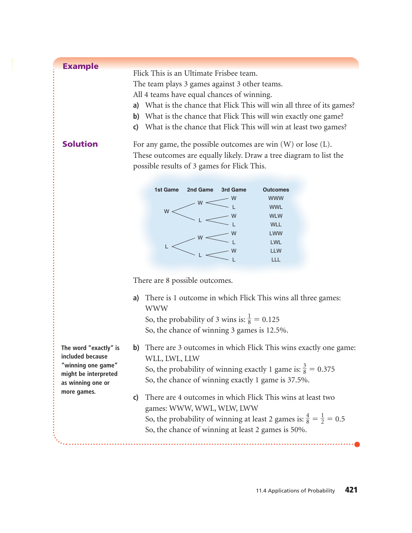| <b>Example</b>  |                                                                        |  |  |  |  |  |
|-----------------|------------------------------------------------------------------------|--|--|--|--|--|
|                 | Flick This is an Ultimate Frisbee team.                                |  |  |  |  |  |
|                 | The team plays 3 games against 3 other teams.                          |  |  |  |  |  |
|                 | All 4 teams have equal chances of winning.                             |  |  |  |  |  |
|                 | a) What is the chance that Flick This will win all three of its games? |  |  |  |  |  |
|                 | b) What is the chance that Flick This will win exactly one game?       |  |  |  |  |  |
|                 | c) What is the chance that Flick This will win at least two games?     |  |  |  |  |  |
| <b>Solution</b> | For any game, the possible outcomes are win $(W)$ or lose $(L)$ .      |  |  |  |  |  |
|                 | These outcomes are equally likely. Draw a tree diagram to list the     |  |  |  |  |  |
|                 | possible results of 3 games for Flick This.                            |  |  |  |  |  |



There are 8 possible outcomes.

**a)** There is 1 outcome in which Flick This wins all three games: WWW

So, the probability of 3 wins is:  $\frac{1}{8} = 0.125$ So, the chance of winning 3 games is 12.5%.

**b)** There are 3 outcomes in which Flick This wins exactly one game: WLL, LWL, LLW

So, the probability of winning exactly 1 game is:  $\frac{3}{8} = 0.375$ So, the chance of winning exactly 1 game is 37.5%.

**c)** There are 4 outcomes in which Flick This wins at least two games: WWW, WWL, WLW, LWW So, the probability of winning at least 2 games is:  $\frac{4}{8} = \frac{1}{2} = 0.5$ So, the chance of winning at least 2 games is 50%.

**The word "exactly" is included because "winning one game" might be interpreted as winning one or more games.**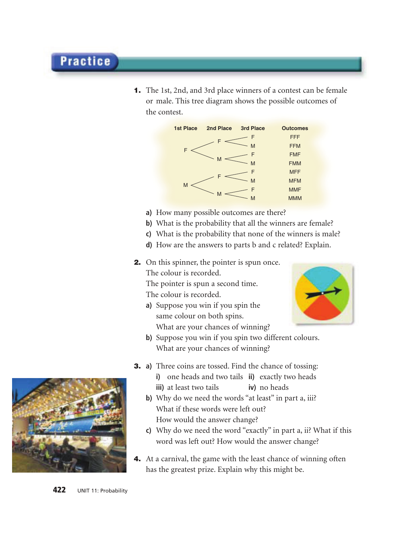1. The 1st, 2nd, and 3rd place winners of a contest can be female or male. This tree diagram shows the possible outcomes of the contest.



- **a)** How many possible outcomes are there?
- **b)** What is the probability that all the winners are female?
- **c)** What is the probability that none of the winners is male?
- **d)** How are the answers to parts b and c related? Explain.

2. On this spinner, the pointer is spun once.

The colour is recorded.

The pointer is spun a second time.

The colour is recorded.

- **a)** Suppose you win if you spin the same colour on both spins. What are your chances of winning?
- **b)** Suppose you win if you spin two different colours. What are your chances of winning?
- 3. **a)** Three coins are tossed. Find the chance of tossing: **i)** one heads and two tails **ii)** exactly two heads **iii**) at least two tails **iv**) no heads
	- **b)** Why do we need the words "at least" in part a, iii? What if these words were left out? How would the answer change?
	- **c)** Why do we need the word "exactly" in part a, ii? What if this word was left out? How would the answer change?
- 4. At a carnival, the game with the least chance of winning often has the greatest prize. Explain why this might be.



**Practice** 

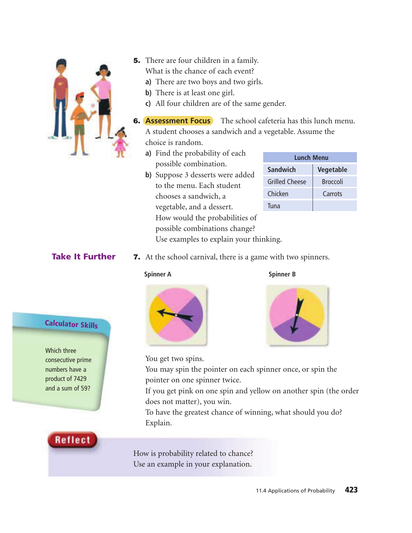

- **5.** There are four children in a family. What is the chance of each event?
	- **a)** There are two boys and two girls.
	- **b)** There is at least one girl.
	- **c)** All four children are of the same gender.

**6. Assessment Focus** The school cafeteria has this lunch menu. A student chooses a sandwich and a vegetable. Assume the choice is random.

- **a)** Find the probability of each possible combination.
- **b)** Suppose 3 desserts were added to the menu. Each student chooses a sandwich, a vegetable, and a dessert. How would the probabilities of possible combinations change? Use examples to explain your thinking.

| Lunch Menu            |                 |  |  |  |  |
|-----------------------|-----------------|--|--|--|--|
| Sandwich              | Vegetable       |  |  |  |  |
| <b>Grilled Cheese</b> | <b>Broccoli</b> |  |  |  |  |
| Chicken               | Carrots         |  |  |  |  |
| Tuna                  |                 |  |  |  |  |

## Take It Further

7. At the school carnival, there is a game with two spinners.



**Spinner A** Spinner B



You get two spins.

You may spin the pointer on each spinner once, or spin the pointer on one spinner twice.

If you get pink on one spin and yellow on another spin (the order does not matter), you win.

To have the greatest chance of winning, what should you do? Explain.

How is probability related to chance? Use an example in your explanation.



Calculator Skills

consecutive prime numbers have a product of 7429 and a sum of 59?